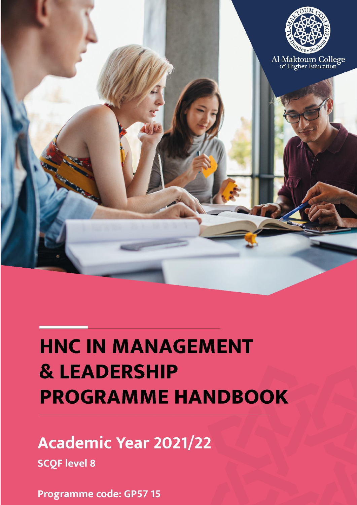

# **HNC IN MANAGEMENT & LEADERSHIP PROGRAMME HANDBOOK**

## **Academic Year 2021/22**

**SCQF level 8** 

**Programme code: GP57 15**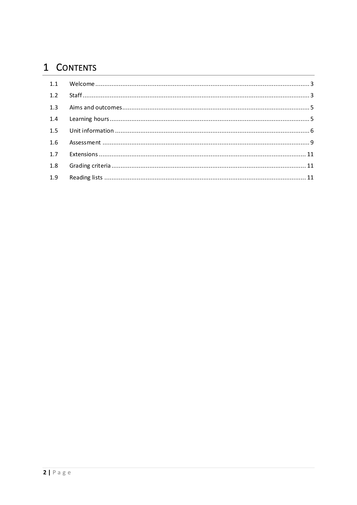### 1 CONTENTS

| 1.2 |  |
|-----|--|
|     |  |
|     |  |
|     |  |
| 1.6 |  |
|     |  |
| 1.8 |  |
|     |  |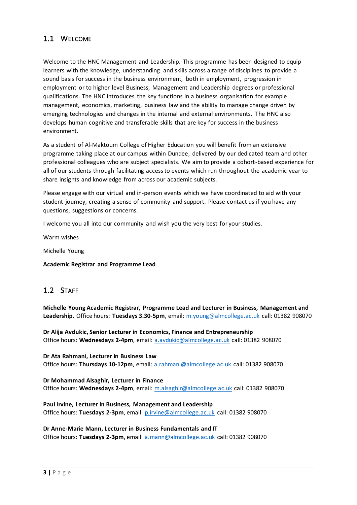#### 1.1 WELCOME

Welcome to the HNC Management and Leadership. This programme has been designed to equip learners with the knowledge, understanding and skills across a range of disciplines to provide a sound basis for success in the business environment, both in employment, progression in employment or to higher level Business, Management and Leadership degrees or professional qualifications. The HNC introduces the key functions in a business organisation for example management, economics, marketing, business law and the ability to manage change driven by emerging technologies and changes in the internal and external environments. The HNC also develops human cognitive and transferable skills that are key for success in the business environment.

As a student of Al-Maktoum College of Higher Education you will benefit from an extensive programme taking place at our campus within Dundee, delivered by our dedicated team and other professional colleagues who are subject specialists. We aim to provide a cohort-based experience for all of our students through facilitating access to events which run throughout the academic year to share insights and knowledge from across our academic subjects.

Please engage with our virtual and in-person events which we have coordinated to aid with your student journey, creating a sense of community and support. Please contact us if you have any questions, suggestions or concerns.

I welcome you all into our community and wish you the very best for your studies.

Warm wishes

Michelle Young

#### **Academic Registrar and Programme Lead**

#### 1.2 STAFF

**Michelle Young Academic Registrar, Programme Lead and Lecturer in Business, Management and Leadership**. Office hours: **Tuesdays 3.30-5pm**, email: [m.young@almcollege.ac.uk](mailto:m.young@almcollege.ac.uk) call: 01382 908070

**Dr Alija Avdukic, Senior Lecturer in Economics, Finance and Entrepreneurship** Office hours: **Wednesdays 2-4pm**, email: [a.avdukic@almcollege.ac.uk](mailto:a.avdukic@almcollege.ac.uk) call: 01382 908070

**Dr Ata Rahmani, Lecturer in Business Law**  Office hours: **Thursdays 10-12pm**, email: [a.rahmani@almcollege.ac.uk](mailto:a.rahmani@almcollege.ac.uk) call: 01382 908070

**Dr Mohammad Alsaghir, Lecturer in Finance**  Office hours: **Wednesdays 2-4pm**, email: [m.alsaghir@almcollege.ac.uk](mailto:m.alsaghir@almcollege.ac.uk) call: 01382 908070

**Paul Irvine, Lecturer in Business, Management and Leadership**  Office hours: **Tuesdays 2-3pm**, email: [p.irvine@almcollege.ac.uk](mailto:p.irvine@almcollege.ac.uk) call: 01382 908070

**Dr Anne-Marie Mann, Lecturer in Business Fundamentals and IT**  Office hours: **Tuesdays 2-3pm**, email: [a.mann@almcollege.ac.uk](mailto:a.mann@almcollege.ac.uk) call: 01382 908070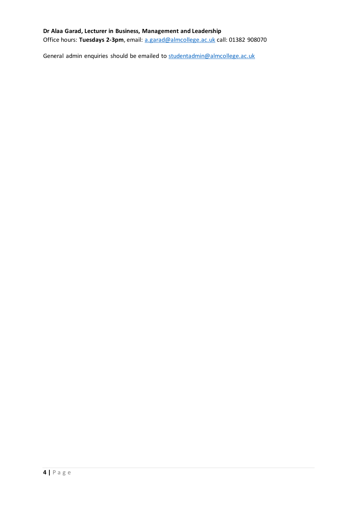#### **Dr Alaa Garad, Lecturer in Business, Management and Leadership**

Office hours: **Tuesdays 2-3pm**, email: [a.garad@almcollege.ac.uk](mailto:a.garad@almcollege.ac.uk) call: 01382 908070

General admin enquiries should be emailed to [studentadmin@almcollege.ac.uk](mailto:studentadmin@almcollege.ac.uk)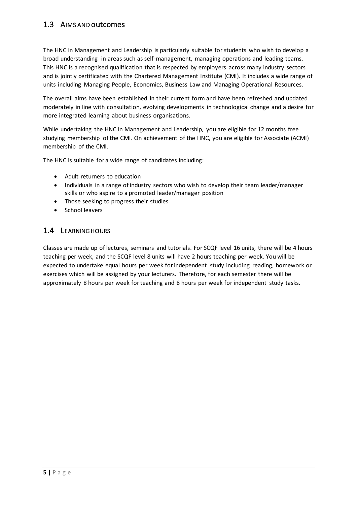#### 1.3 AIMS AND outcomes

The HNC in Management and Leadership is particularly suitable for students who wish to develop a broad understanding in areas such as self-management, managing operations and leading teams. This HNC is a recognised qualification that is respected by employers across many industry sectors and is jointly certificated with the Chartered Management Institute (CMI). It includes a wide range of units including Managing People, Economics, Business Law and Managing Operational Resources.

The overall aims have been established in their current form and have been refreshed and updated moderately in line with consultation, evolving developments in technological change and a desire for more integrated learning about business organisations.

While undertaking the HNC in Management and Leadership, you are eligible for 12 months free studying membership of the CMI. On achievement of the HNC, you are eligible for Associate (ACMI) membership of the CMI.

The HNC is suitable for a wide range of candidates including:

- Adult returners to education
- Individuals in a range of industry sectors who wish to develop their team leader/manager skills or who aspire to a promoted leader/manager position
- Those seeking to progress their studies
- School leavers

#### 1.4 LEARNING HOURS

Classes are made up of lectures, seminars and tutorials. For SCQF level 16 units, there will be 4 hours teaching per week, and the SCQF level 8 units will have 2 hours teaching per week. You will be expected to undertake equal hours per week for independent study including reading, homework or exercises which will be assigned by your lecturers. Therefore, for each semester there will be approximately 8 hours per week for teaching and 8 hours per week for independent study tasks.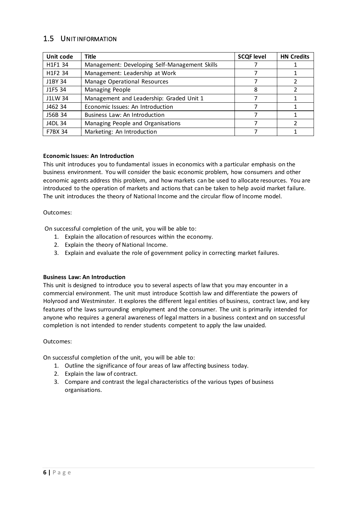#### 1.5 UNIT INFORMATION

| Unit code      | <b>Title</b>                                  | <b>SCQF level</b> | <b>HN Credits</b> |
|----------------|-----------------------------------------------|-------------------|-------------------|
| H1F1 34        | Management: Developing Self-Management Skills |                   |                   |
| H1F2 34        | Management: Leadership at Work                |                   |                   |
| J1BY 34        | <b>Manage Operational Resources</b>           |                   |                   |
| J1F5 34        | Managing People                               | 8                 |                   |
| J1LW 34        | Management and Leadership: Graded Unit 1      |                   |                   |
| J462 34        | Economic Issues: An Introduction              |                   |                   |
| J56B 34        | Business Law: An Introduction                 |                   |                   |
| J4DL 34        | Managing People and Organisations             |                   |                   |
| <b>F7BX 34</b> | Marketing: An Introduction                    |                   |                   |

#### **Economic Issues: An Introduction**

This unit introduces you to fundamental issues in economics with a particular emphasis on the business environment. You will consider the basic economic problem, how consumers and other economic agents address this problem, and how markets can be used to allocate resources. You are introduced to the operation of markets and actions that can be taken to help avoid market failure. The unit introduces the theory of National Income and the circular flow of Income model.

#### Outcomes:

On successful completion of the unit, you will be able to:

- 1. Explain the allocation of resources within the economy.
- 2. Explain the theory of National Income.
- 3. Explain and evaluate the role of government policy in correcting market failures.

#### **Business Law: An Introduction**

This unit is designed to introduce you to several aspects of law that you may encounter in a commercial environment. The unit must introduce Scottish law and differentiate the powers of Holyrood and Westminster. It explores the different legal entities of business, contract law, and key features of the laws surrounding employment and the consumer. The unit is primarily intended for anyone who requires a general awareness of legal matters in a business context and on successful completion is not intended to render students competent to apply the law unaided.

#### Outcomes:

On successful completion of the unit, you will be able to:

- 1. Outline the significance of four areas of law affecting business today.
- 2. Explain the law of contract.
- 3. Compare and contrast the legal characteristics of the various types of business organisations.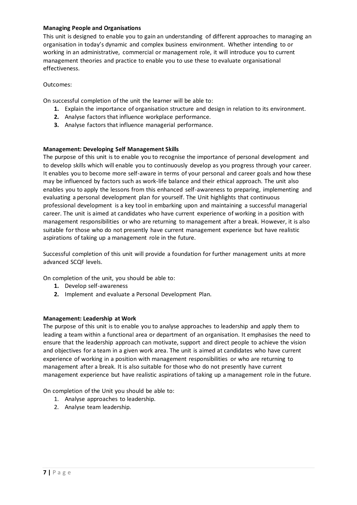#### **Managing People and Organisations**

This unit is designed to enable you to gain an understanding of different approaches to managing an organisation in today's dynamic and complex business environment. Whether intending to or working in an administrative, commercial or management role, it will introduce you to current management theories and practice to enable you to use these to evaluate organisational effectiveness.

#### Outcomes:

On successful completion of the unit the learner will be able to:

- **1.** Explain the importance of organisation structure and design in relation to its environment.
- **2.** Analyse factors that influence workplace performance.
- **3.** Analyse factors that influence managerial performance.

#### **Management: Developing Self Management Skills**

The purpose of this unit is to enable you to recognise the importance of personal development and to develop skills which will enable you to continuously develop as you progress through your career. It enables you to become more self-aware in terms of your personal and career goals and how these may be influenced by factors such as work-life balance and their ethical approach. The unit also enables you to apply the lessons from this enhanced self-awareness to preparing, implementing and evaluating a personal development plan for yourself. The Unit highlights that continuous professional development is a key tool in embarking upon and maintaining a successful managerial career. The unit is aimed at candidates who have current experience of working in a position with management responsibilities or who are returning to management after a break. However, it is also suitable for those who do not presently have current management experience but have realistic aspirations of taking up a management role in the future.

Successful completion of this unit will provide a foundation for further management units at more advanced SCQF levels.

On completion of the unit, you should be able to:

- **1.** Develop self-awareness
- **2.** Implement and evaluate a Personal Development Plan.

#### **Management: Leadership at Work**

The purpose of this unit is to enable you to analyse approaches to leadership and apply them to leading a team within a functional area or department of an organisation. It emphasises the need to ensure that the leadership approach can motivate, support and direct people to achieve the vision and objectives for a team in a given work area. The unit is aimed at candidates who have current experience of working in a position with management responsibilities or who are returning to management after a break. It is also suitable for those who do not presently have current management experience but have realistic aspirations of taking up a management role in the future.

On completion of the Unit you should be able to:

- 1. Analyse approaches to leadership.
- 2. Analyse team leadership.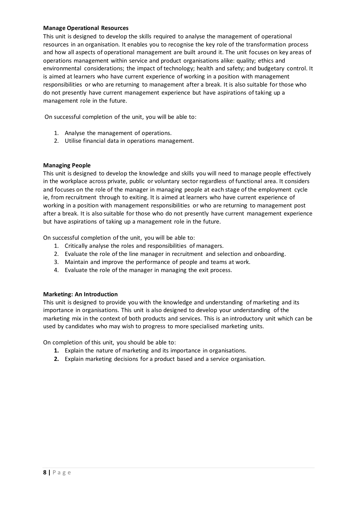#### **Manage Operational Resources**

This unit is designed to develop the skills required to analyse the management of operational resources in an organisation. It enables you to recognise the key role of the transformation process and how all aspects of operational management are built around it. The unit focuses on key areas of operations management within service and product organisations alike: quality; ethics and environmental considerations; the impact of technology; health and safety; and budgetary control. It is aimed at learners who have current experience of working in a position with management responsibilities or who are returning to management after a break. It is also suitable for those who do not presently have current management experience but have aspirations of taking up a management role in the future.

On successful completion of the unit, you will be able to:

- 1. Analyse the management of operations.
- 2. Utilise financial data in operations management.

#### **Managing People**

This unit is designed to develop the knowledge and skills you will need to manage people effectively in the workplace across private, public or voluntary sector regardless of functional area. It considers and focuses on the role of the manager in managing people at each stage of the employment cycle ie, from recruitment through to exiting. It is aimed at learners who have current experience of working in a position with management responsibilities or who are returning to management post after a break. It is also suitable for those who do not presently have current management experience but have aspirations of taking up a management role in the future.

On successful completion of the unit, you will be able to:

- 1. Critically analyse the roles and responsibilities of managers.
- 2. Evaluate the role of the line manager in recruitment and selection and onboarding.
- 3. Maintain and improve the performance of people and teams at work.
- 4. Evaluate the role of the manager in managing the exit process.

#### **Marketing: An Introduction**

This unit is designed to provide you with the knowledge and understanding of marketing and its importance in organisations. This unit is also designed to develop your understanding of the marketing mix in the context of both products and services. This is an introductory unit which can be used by candidates who may wish to progress to more specialised marketing units.

On completion of this unit, you should be able to:

- **1.** Explain the nature of marketing and its importance in organisations.
- **2.** Explain marketing decisions for a product based and a service organisation.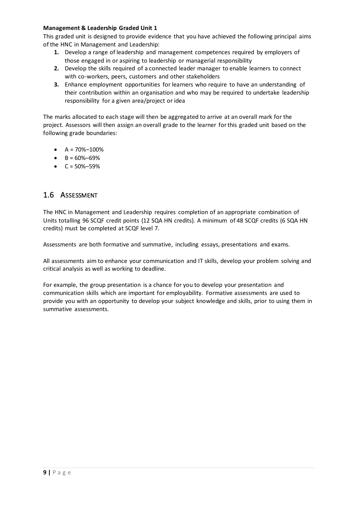#### **Management & Leadership Graded Unit 1**

This graded unit is designed to provide evidence that you have achieved the following principal aims of the HNC in Management and Leadership:

- **1.** Develop a range of leadership and management competences required by employers of those engaged in or aspiring to leadership or managerial responsibility
- **2.** Develop the skills required of a connected leader manager to enable learners to connect with co-workers, peers, customers and other stakeholders
- **3.** Enhance employment opportunities for learners who require to have an understanding of their contribution within an organisation and who may be required to undertake leadership responsibility for a given area/project or idea

The marks allocated to each stage will then be aggregated to arrive at an overall mark for the project. Assessors will then assign an overall grade to the learner for this graded unit based on the following grade boundaries:

- $A = 70\% 100\%$
- $-B = 60\% 69\%$
- $\bullet$  C = 50%–59%

#### 1.6 ASSESSMENT

The HNC in Management and Leadership requires completion of an appropriate combination of Units totalling 96 SCQF credit points (12 SQA HN credits). A minimum of 48 SCQF credits (6 SQA HN credits) must be completed at SCQF level 7.

Assessments are both formative and summative, including essays, presentations and exams.

All assessments aim to enhance your communication and IT skills, develop your problem solving and critical analysis as well as working to deadline.

For example, the group presentation is a chance for you to develop your presentation and communication skills which are important for employability. Formative assessments are used to provide you with an opportunity to develop your subject knowledge and skills, prior to using them in summative assessments.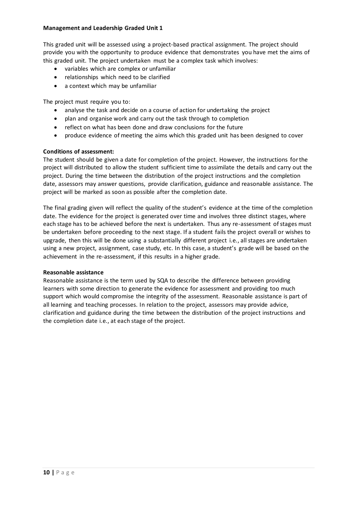#### **Management and Leadership Graded Unit 1**

This graded unit will be assessed using a project-based practical assignment. The project should provide you with the opportunity to produce evidence that demonstrates you have met the aims of this graded unit. The project undertaken must be a complex task which involves:

- variables which are complex or unfamiliar
- relationships which need to be clarified
- a context which may be unfamiliar

The project must require you to:

- analyse the task and decide on a course of action for undertaking the project
- plan and organise work and carry out the task through to completion
- reflect on what has been done and draw conclusions for the future
- produce evidence of meeting the aims which this graded unit has been designed to cover

#### **Conditions of assessment:**

The student should be given a date for completion of the project. However, the instructions for the project will distributed to allow the student sufficient time to assimilate the details and carry out the project. During the time between the distribution of the project instructions and the completion date, assessors may answer questions, provide clarification, guidance and reasonable assistance. The project will be marked as soon as possible after the completion date.

The final grading given will reflect the quality of the student's evidence at the time of the completion date. The evidence for the project is generated over time and involves three distinct stages, where each stage has to be achieved before the next is undertaken. Thus any re-assessment of stages must be undertaken before proceeding to the next stage. If a student fails the project overall or wishes to upgrade, then this will be done using a substantially different project i.e., all stages are undertaken using a new project, assignment, case study, etc. In this case, a student's grade will be based on the achievement in the re-assessment, if this results in a higher grade.

#### **Reasonable assistance**

Reasonable assistance is the term used by SQA to describe the difference between providing learners with some direction to generate the evidence for assessment and providing too much support which would compromise the integrity of the assessment. Reasonable assistance is part of all learning and teaching processes. In relation to the project, assessors may provide advice, clarification and guidance during the time between the distribution of the project instructions and the completion date i.e., at each stage of the project.